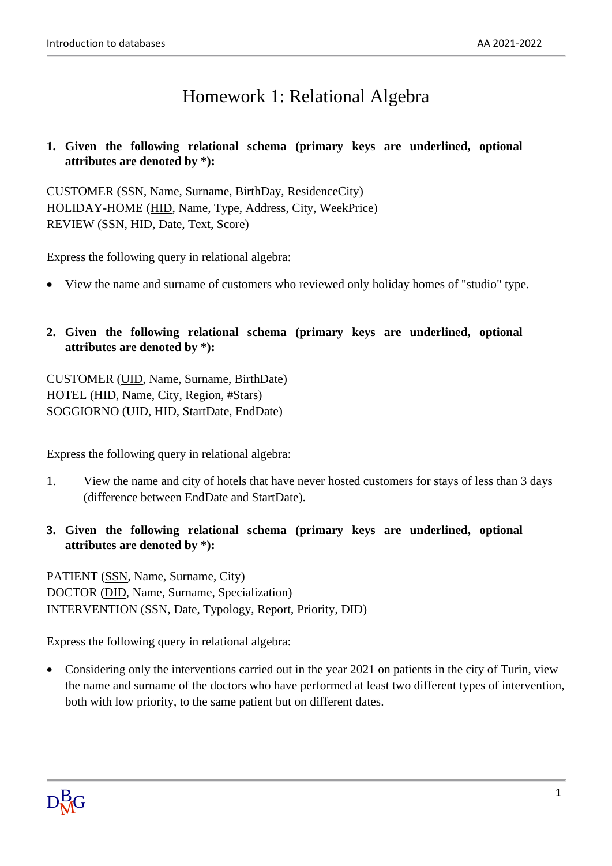## Homework 1: Relational Algebra

## **1. Given the following relational schema (primary keys are underlined, optional attributes are denoted by \*):**

CUSTOMER (SSN, Name, Surname, BirthDay, ResidenceCity) HOLIDAY-HOME (HID, Name, Type, Address, City, WeekPrice) REVIEW (SSN, HID, Date, Text, Score)

Express the following query in relational algebra:

• View the name and surname of customers who reviewed only holiday homes of "studio" type.

## **2. Given the following relational schema (primary keys are underlined, optional attributes are denoted by \*):**

CUSTOMER (UID, Name, Surname, BirthDate) HOTEL (HID, Name, City, Region, #Stars) SOGGIORNO (UID, HID, StartDate, EndDate)

Express the following query in relational algebra:

- 1. View the name and city of hotels that have never hosted customers for stays of less than 3 days (difference between EndDate and StartDate).
- **3. Given the following relational schema (primary keys are underlined, optional attributes are denoted by \*):**

PATIENT (SSN, Name, Surname, City) DOCTOR (DID, Name, Surname, Specialization) INTERVENTION (SSN, Date, Typology, Report, Priority, DID)

Express the following query in relational algebra:

• Considering only the interventions carried out in the year 2021 on patients in the city of Turin, view the name and surname of the doctors who have performed at least two different types of intervention, both with low priority, to the same patient but on different dates.